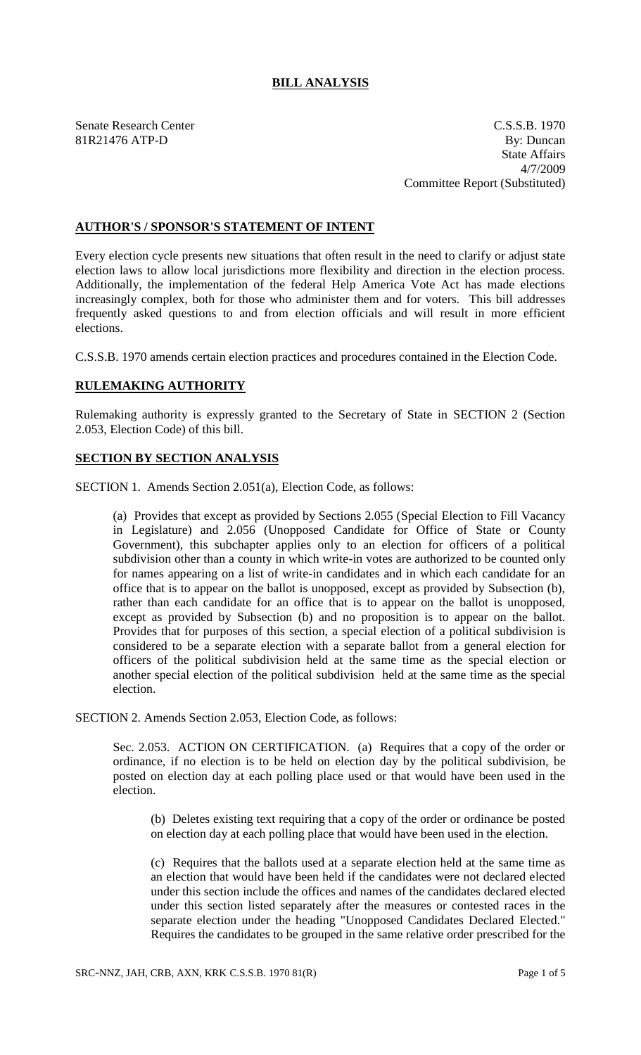# **BILL ANALYSIS**

Senate Research Center C.S.S.B. 1970 81R21476 ATP-D By: Duncan State Affairs 4/7/2009 Committee Report (Substituted)

# **AUTHOR'S / SPONSOR'S STATEMENT OF INTENT**

Every election cycle presents new situations that often result in the need to clarify or adjust state election laws to allow local jurisdictions more flexibility and direction in the election process. Additionally, the implementation of the federal Help America Vote Act has made elections increasingly complex, both for those who administer them and for voters. This bill addresses frequently asked questions to and from election officials and will result in more efficient elections.

C.S.S.B. 1970 amends certain election practices and procedures contained in the Election Code.

#### **RULEMAKING AUTHORITY**

Rulemaking authority is expressly granted to the Secretary of State in SECTION 2 (Section 2.053, Election Code) of this bill.

#### **SECTION BY SECTION ANALYSIS**

SECTION 1. Amends Section 2.051(a), Election Code, as follows:

(a) Provides that except as provided by Sections 2.055 (Special Election to Fill Vacancy in Legislature) and 2.056 (Unopposed Candidate for Office of State or County Government), this subchapter applies only to an election for officers of a political subdivision other than a county in which write-in votes are authorized to be counted only for names appearing on a list of write-in candidates and in which each candidate for an office that is to appear on the ballot is unopposed, except as provided by Subsection (b), rather than each candidate for an office that is to appear on the ballot is unopposed, except as provided by Subsection (b) and no proposition is to appear on the ballot. Provides that for purposes of this section, a special election of a political subdivision is considered to be a separate election with a separate ballot from a general election for officers of the political subdivision held at the same time as the special election or another special election of the political subdivision held at the same time as the special election.

SECTION 2. Amends Section 2.053, Election Code, as follows:

Sec. 2.053. ACTION ON CERTIFICATION. (a) Requires that a copy of the order or ordinance, if no election is to be held on election day by the political subdivision, be posted on election day at each polling place used or that would have been used in the election.

(b) Deletes existing text requiring that a copy of the order or ordinance be posted on election day at each polling place that would have been used in the election.

(c) Requires that the ballots used at a separate election held at the same time as an election that would have been held if the candidates were not declared elected under this section include the offices and names of the candidates declared elected under this section listed separately after the measures or contested races in the separate election under the heading "Unopposed Candidates Declared Elected." Requires the candidates to be grouped in the same relative order prescribed for the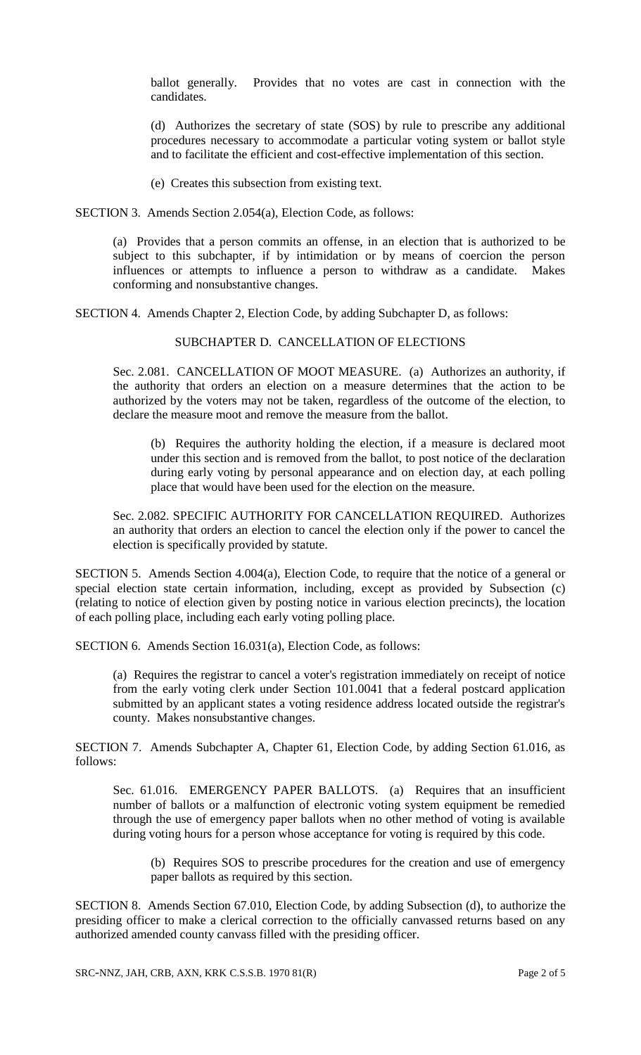ballot generally. Provides that no votes are cast in connection with the candidates.

(d) Authorizes the secretary of state (SOS) by rule to prescribe any additional procedures necessary to accommodate a particular voting system or ballot style and to facilitate the efficient and cost-effective implementation of this section.

(e) Creates this subsection from existing text.

SECTION 3. Amends Section 2.054(a), Election Code, as follows:

(a) Provides that a person commits an offense, in an election that is authorized to be subject to this subchapter, if by intimidation or by means of coercion the person influences or attempts to influence a person to withdraw as a candidate. Makes conforming and nonsubstantive changes.

SECTION 4. Amends Chapter 2, Election Code, by adding Subchapter D, as follows:

## SUBCHAPTER D. CANCELLATION OF ELECTIONS

Sec. 2.081. CANCELLATION OF MOOT MEASURE. (a) Authorizes an authority, if the authority that orders an election on a measure determines that the action to be authorized by the voters may not be taken, regardless of the outcome of the election, to declare the measure moot and remove the measure from the ballot.

(b) Requires the authority holding the election, if a measure is declared moot under this section and is removed from the ballot, to post notice of the declaration during early voting by personal appearance and on election day, at each polling place that would have been used for the election on the measure.

Sec. 2.082. SPECIFIC AUTHORITY FOR CANCELLATION REQUIRED. Authorizes an authority that orders an election to cancel the election only if the power to cancel the election is specifically provided by statute.

SECTION 5. Amends Section 4.004(a), Election Code, to require that the notice of a general or special election state certain information, including, except as provided by Subsection (c) (relating to notice of election given by posting notice in various election precincts), the location of each polling place, including each early voting polling place.

SECTION 6. Amends Section 16.031(a), Election Code, as follows:

(a) Requires the registrar to cancel a voter's registration immediately on receipt of notice from the early voting clerk under Section 101.0041 that a federal postcard application submitted by an applicant states a voting residence address located outside the registrar's county. Makes nonsubstantive changes.

SECTION 7. Amends Subchapter A, Chapter 61, Election Code, by adding Section 61.016, as follows:

Sec. 61.016. EMERGENCY PAPER BALLOTS. (a) Requires that an insufficient number of ballots or a malfunction of electronic voting system equipment be remedied through the use of emergency paper ballots when no other method of voting is available during voting hours for a person whose acceptance for voting is required by this code.

(b) Requires SOS to prescribe procedures for the creation and use of emergency paper ballots as required by this section.

SECTION 8. Amends Section 67.010, Election Code, by adding Subsection (d), to authorize the presiding officer to make a clerical correction to the officially canvassed returns based on any authorized amended county canvass filled with the presiding officer.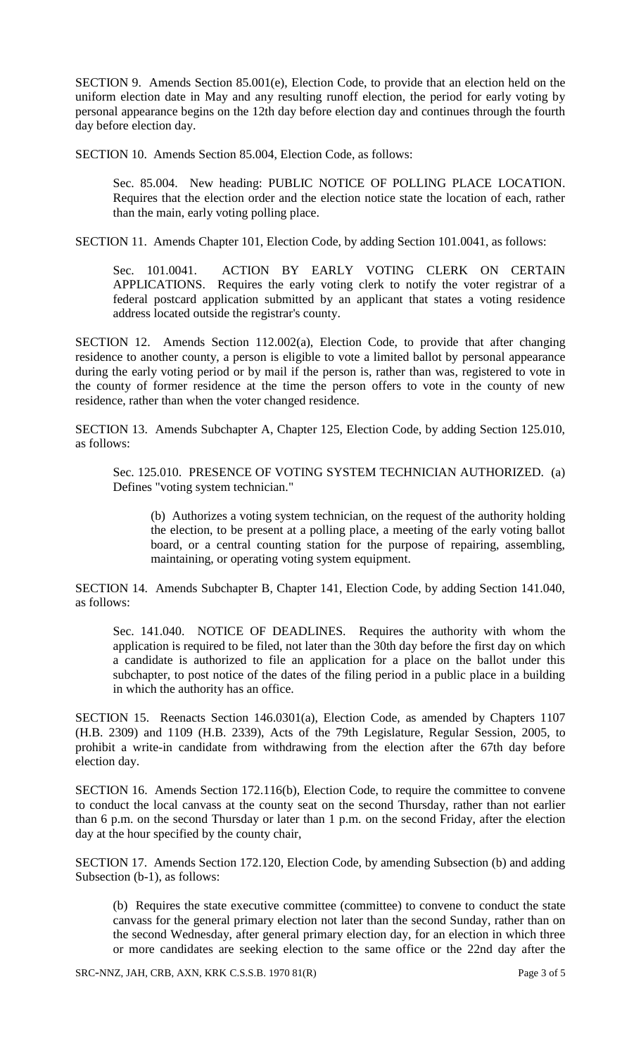SECTION 9. Amends Section 85.001(e), Election Code, to provide that an election held on the uniform election date in May and any resulting runoff election, the period for early voting by personal appearance begins on the 12th day before election day and continues through the fourth day before election day.

SECTION 10. Amends Section 85.004, Election Code, as follows:

Sec. 85.004. New heading: PUBLIC NOTICE OF POLLING PLACE LOCATION. Requires that the election order and the election notice state the location of each, rather than the main, early voting polling place.

SECTION 11. Amends Chapter 101, Election Code, by adding Section 101.0041, as follows:

Sec. 101.0041. ACTION BY EARLY VOTING CLERK ON CERTAIN APPLICATIONS. Requires the early voting clerk to notify the voter registrar of a federal postcard application submitted by an applicant that states a voting residence address located outside the registrar's county.

SECTION 12. Amends Section 112.002(a), Election Code, to provide that after changing residence to another county, a person is eligible to vote a limited ballot by personal appearance during the early voting period or by mail if the person is, rather than was, registered to vote in the county of former residence at the time the person offers to vote in the county of new residence, rather than when the voter changed residence.

SECTION 13. Amends Subchapter A, Chapter 125, Election Code, by adding Section 125.010, as follows:

Sec. 125.010. PRESENCE OF VOTING SYSTEM TECHNICIAN AUTHORIZED. (a) Defines "voting system technician."

(b) Authorizes a voting system technician, on the request of the authority holding the election, to be present at a polling place, a meeting of the early voting ballot board, or a central counting station for the purpose of repairing, assembling, maintaining, or operating voting system equipment.

SECTION 14. Amends Subchapter B, Chapter 141, Election Code, by adding Section 141.040, as follows:

Sec. 141.040. NOTICE OF DEADLINES. Requires the authority with whom the application is required to be filed, not later than the 30th day before the first day on which a candidate is authorized to file an application for a place on the ballot under this subchapter, to post notice of the dates of the filing period in a public place in a building in which the authority has an office.

SECTION 15. Reenacts Section 146.0301(a), Election Code, as amended by Chapters 1107 (H.B. 2309) and 1109 (H.B. 2339), Acts of the 79th Legislature, Regular Session, 2005, to prohibit a write-in candidate from withdrawing from the election after the 67th day before election day.

SECTION 16. Amends Section 172.116(b), Election Code, to require the committee to convene to conduct the local canvass at the county seat on the second Thursday, rather than not earlier than 6 p.m. on the second Thursday or later than 1 p.m. on the second Friday, after the election day at the hour specified by the county chair,

SECTION 17. Amends Section 172.120, Election Code, by amending Subsection (b) and adding Subsection (b-1), as follows:

(b) Requires the state executive committee (committee) to convene to conduct the state canvass for the general primary election not later than the second Sunday, rather than on the second Wednesday, after general primary election day, for an election in which three or more candidates are seeking election to the same office or the 22nd day after the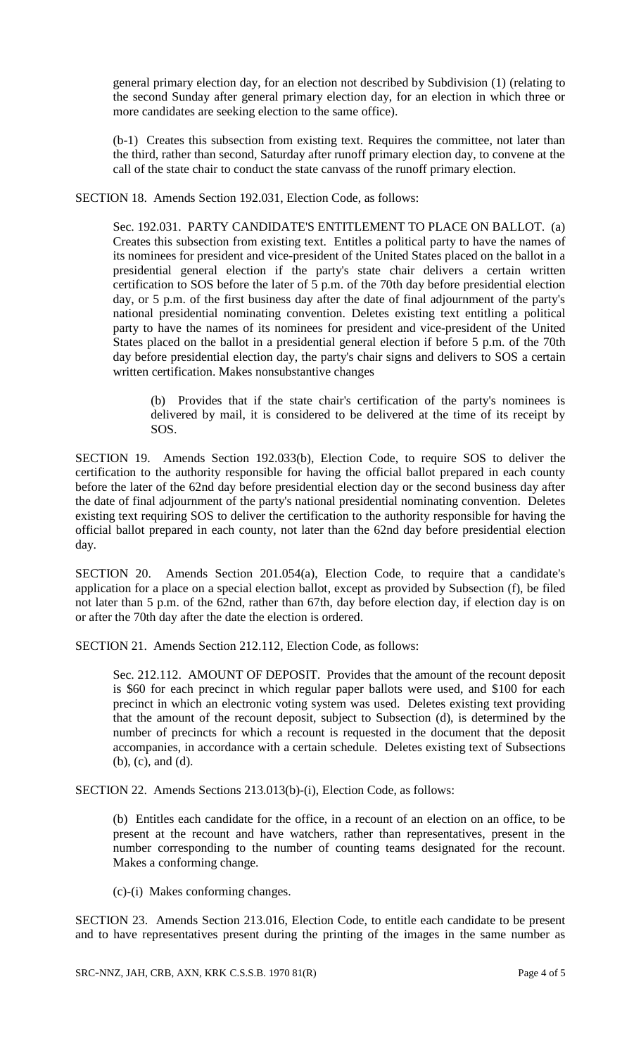general primary election day, for an election not described by Subdivision (1) (relating to the second Sunday after general primary election day, for an election in which three or more candidates are seeking election to the same office).

(b-1) Creates this subsection from existing text. Requires the committee, not later than the third, rather than second, Saturday after runoff primary election day, to convene at the call of the state chair to conduct the state canvass of the runoff primary election.

SECTION 18. Amends Section 192.031, Election Code, as follows:

Sec. 192.031. PARTY CANDIDATE'S ENTITLEMENT TO PLACE ON BALLOT. (a) Creates this subsection from existing text. Entitles a political party to have the names of its nominees for president and vice-president of the United States placed on the ballot in a presidential general election if the party's state chair delivers a certain written certification to SOS before the later of 5 p.m. of the 70th day before presidential election day, or 5 p.m. of the first business day after the date of final adjournment of the party's national presidential nominating convention. Deletes existing text entitling a political party to have the names of its nominees for president and vice-president of the United States placed on the ballot in a presidential general election if before 5 p.m. of the 70th day before presidential election day, the party's chair signs and delivers to SOS a certain written certification. Makes nonsubstantive changes

(b) Provides that if the state chair's certification of the party's nominees is delivered by mail, it is considered to be delivered at the time of its receipt by SOS.

SECTION 19. Amends Section 192.033(b), Election Code, to require SOS to deliver the certification to the authority responsible for having the official ballot prepared in each county before the later of the 62nd day before presidential election day or the second business day after the date of final adjournment of the party's national presidential nominating convention. Deletes existing text requiring SOS to deliver the certification to the authority responsible for having the official ballot prepared in each county, not later than the 62nd day before presidential election day.

SECTION 20. Amends Section 201.054(a), Election Code, to require that a candidate's application for a place on a special election ballot, except as provided by Subsection (f), be filed not later than 5 p.m. of the 62nd, rather than 67th, day before election day, if election day is on or after the 70th day after the date the election is ordered.

SECTION 21. Amends Section 212.112, Election Code, as follows:

Sec. 212.112. AMOUNT OF DEPOSIT. Provides that the amount of the recount deposit is \$60 for each precinct in which regular paper ballots were used, and \$100 for each precinct in which an electronic voting system was used. Deletes existing text providing that the amount of the recount deposit, subject to Subsection (d), is determined by the number of precincts for which a recount is requested in the document that the deposit accompanies, in accordance with a certain schedule. Deletes existing text of Subsections (b), (c), and (d).

SECTION 22. Amends Sections 213.013(b)-(i), Election Code, as follows:

(b) Entitles each candidate for the office, in a recount of an election on an office, to be present at the recount and have watchers, rather than representatives, present in the number corresponding to the number of counting teams designated for the recount. Makes a conforming change.

(c)-(i) Makes conforming changes.

SECTION 23. Amends Section 213.016, Election Code, to entitle each candidate to be present and to have representatives present during the printing of the images in the same number as